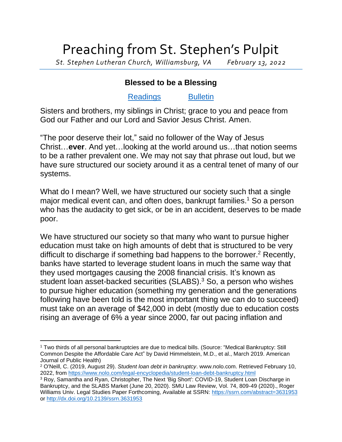## Preaching from St. Stephen's Pulpit

*St. Stephen Lutheran Church, Williamsburg, VA February 13, 2022*

## **Blessed to be a Blessing**

## [Readings](https://lectionary.library.vanderbilt.edu/texts.php?id=112) [Bulletin](http://www.saintstephenlutheran.net/sunday-bulletins/)

Sisters and brothers, my siblings in Christ; grace to you and peace from God our Father and our Lord and Savior Jesus Christ. Amen.

"The poor deserve their lot," said no follower of the Way of Jesus Christ…**ever**. And yet…looking at the world around us…that notion seems to be a rather prevalent one. We may not say that phrase out loud, but we have sure structured our society around it as a central tenet of many of our systems.

What do I mean? Well, we have structured our society such that a single major medical event can, and often does, bankrupt families.<sup>1</sup> So a person who has the audacity to get sick, or be in an accident, deserves to be made poor.

We have structured our society so that many who want to pursue higher education must take on high amounts of debt that is structured to be very difficult to discharge if something bad happens to the borrower.<sup>2</sup> Recently, banks have started to leverage student loans in much the same way that they used mortgages causing the 2008 financial crisis. It's known as student loan asset-backed securities (SLABS). <sup>3</sup> So, a person who wishes to pursue higher education (something my generation and the generations following have been told is the most important thing we can do to succeed) must take on an average of \$42,000 in debt (mostly due to education costs rising an average of 6% a year since 2000, far out pacing inflation and

<sup>1</sup> Two thirds of all personal bankruptcies are due to medical bills. (Source: "Medical Bankruptcy: Still Common Despite the Affordable Care Act" by David Himmelstein, M.D., et al., March 2019. American Journal of Public Health)

<sup>2</sup> O'Neill, C. (2019, August 29). *Student loan debt in bankruptcy*. www.nolo.com. Retrieved February 10, 2022, from<https://www.nolo.com/legal-encyclopedia/student-loan-debt-bankruptcy.html>

<sup>3</sup> Roy, Samantha and Ryan, Christopher, The Next 'Big Short': COVID-19, Student Loan Discharge in Bankruptcy, and the SLABS Market (June 20, 2020). SMU Law Review, Vol. 74, 809-49 (2020)., Roger Williams Univ. Legal Studies Paper Forthcoming, Available at SSRN:<https://ssrn.com/abstract=3631953> or [http://dx.doi.org/10.2139/ssrn.3631953](https://dx.doi.org/10.2139/ssrn.3631953)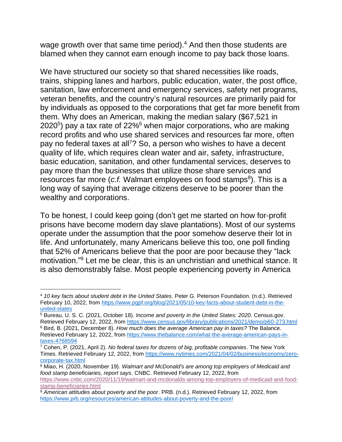wage growth over that same time period).<sup>4</sup> And then those students are blamed when they cannot earn enough income to pay back those loans.

We have structured our society so that shared necessities like roads, trains, shipping lanes and harbors, public education, water, the post office, sanitation, law enforcement and emergency services, safety net programs, veteran benefits, and the country's natural resources are primarily paid for by individuals as opposed to the corporations that get far more benefit from them. Why does an American, making the median salary (\$67,521 in 2020<sup>5</sup>) pay a tax rate of 22%<sup>6</sup> when major corporations, who are making record profits and who use shared services and resources far more, often pay no federal taxes at all<sup>7</sup>? So, a person who wishes to have a decent quality of life, which requires clean water and air, safety, infrastructure, basic education, sanitation, and other fundamental services, deserves to pay more than the businesses that utilize those share services and resources far more (*c.f.* Walmart employees on food stamps<sup>8</sup>). This is a long way of saying that average citizens deserve to be poorer than the wealthy and corporations.

To be honest, I could keep going (don't get me started on how for-profit prisons have become modern day slave plantations). Most of our systems operate under the assumption that the poor somehow deserve their lot in life. And unfortunately, many Americans believe this too, one poll finding that 52% of Americans believe that the poor are poor because they "lack motivation." <sup>9</sup> Let me be clear, this is an unchristian and unethical stance. It is also demonstrably false. Most people experiencing poverty in America

<sup>4</sup> *10 key facts about student debt in the United States*. Peter G. Peterson Foundation. (n.d.). Retrieved February 10, 2022, from [https://www.pgpf.org/blog/2021/05/10-key-facts-about-student-debt-in-the](https://www.pgpf.org/blog/2021/05/10-key-facts-about-student-debt-in-the-united-states)[united-states](https://www.pgpf.org/blog/2021/05/10-key-facts-about-student-debt-in-the-united-states)

<sup>5</sup> Bureau, U. S. C. (2021, October 18). *Income and poverty in the United States: 2020*. Census.gov. Retrieved February 12, 2022, from<https://www.census.gov/library/publications/2021/demo/p60-273.html> <sup>6</sup> Bird, B. (2021, December 8). *How much does the average American pay in taxes?* The Balance. Retrieved February 12, 2022, from [https://www.thebalance.com/what-the-average-american-pays-in](https://www.thebalance.com/what-the-average-american-pays-in-taxes-4768594)[taxes-4768594](https://www.thebalance.com/what-the-average-american-pays-in-taxes-4768594)

<sup>7</sup> Cohen, P. (2021, April 2). *No federal taxes for dozens of big, profitable companies*. The New York Times. Retrieved February 12, 2022, from [https://www.nytimes.com/2021/04/02/business/economy/zero](https://www.nytimes.com/2021/04/02/business/economy/zero-corporate-tax.html)[corporate-tax.html](https://www.nytimes.com/2021/04/02/business/economy/zero-corporate-tax.html)

<sup>8</sup> Miao, H. (2020, November 19). *Walmart and McDonald's are among top employers of Medicaid and food stamp beneficiaries, report says*. CNBC. Retrieved February 12, 2022, from [https://www.cnbc.com/2020/11/19/walmart-and-mcdonalds-among-top-employers-of-medicaid-and-food](https://www.cnbc.com/2020/11/19/walmart-and-mcdonalds-among-top-employers-of-medicaid-and-food-stamp-beneficiaries.html)[stamp-beneficiaries.html](https://www.cnbc.com/2020/11/19/walmart-and-mcdonalds-among-top-employers-of-medicaid-and-food-stamp-beneficiaries.html)

<sup>9</sup> *American attitudes about poverty and the poor*. PRB. (n.d.). Retrieved February 12, 2022, from <https://www.prb.org/resources/american-attitudes-about-poverty-and-the-poor/>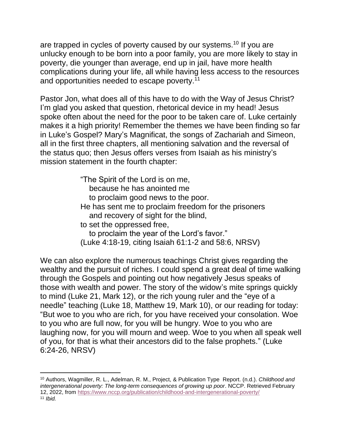are trapped in cycles of poverty caused by our systems.<sup>10</sup> If you are unlucky enough to be born into a poor family, you are more likely to stay in poverty, die younger than average, end up in jail, have more health complications during your life, all while having less access to the resources and opportunities needed to escape poverty.<sup>11</sup>

Pastor Jon, what does all of this have to do with the Way of Jesus Christ? I'm glad you asked that question, rhetorical device in my head! Jesus spoke often about the need for the poor to be taken care of. Luke certainly makes it a high priority! Remember the themes we have been finding so far in Luke's Gospel? Mary's Magnificat, the songs of Zachariah and Simeon, all in the first three chapters, all mentioning salvation and the reversal of the status quo; then Jesus offers verses from Isaiah as his ministry's mission statement in the fourth chapter:

> "The Spirit of the Lord is on me, because he has anointed me to proclaim good news to the poor. He has sent me to proclaim freedom for the prisoners and recovery of sight for the blind, to set the oppressed free, to proclaim the year of the Lord's favor." (Luke 4:18-19, citing Isaiah 61:1-2 and 58:6, NRSV)

We can also explore the numerous teachings Christ gives regarding the wealthy and the pursuit of riches. I could spend a great deal of time walking through the Gospels and pointing out how negatively Jesus speaks of those with wealth and power. The story of the widow's mite springs quickly to mind (Luke 21, Mark 12), or the rich young ruler and the "eye of a needle" teaching (Luke 18, Matthew 19, Mark 10), or our reading for today: "But woe to you who are rich, for you have received your consolation. Woe to you who are full now, for you will be hungry. Woe to you who are laughing now, for you will mourn and weep. Woe to you when all speak well of you, for that is what their ancestors did to the false prophets." (Luke 6:24-26, NRSV)

<sup>10</sup> Authors, Wagmiller, R. L., Adelman, R. M., Project, & Publication Type Report. (n.d.). *Childhood and intergenerational poverty: The long-term consequences of growing up poor*. NCCP. Retrieved February 12, 2022, from<https://www.nccp.org/publication/childhood-and-intergenerational-poverty/> <sup>11</sup> *Ibid.*